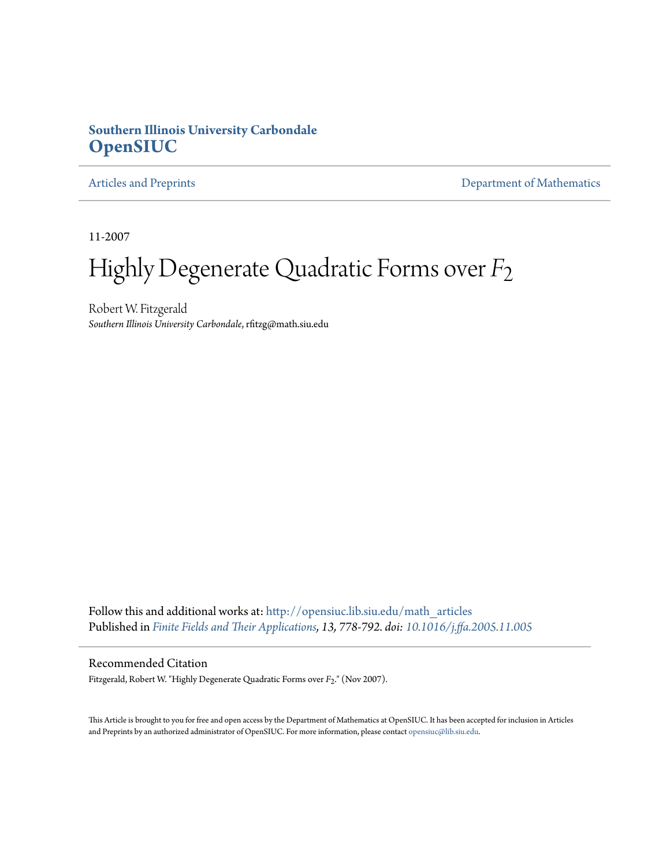## **Southern Illinois University Carbondale [OpenSIUC](http://opensiuc.lib.siu.edu?utm_source=opensiuc.lib.siu.edu%2Fmath_articles%2F18&utm_medium=PDF&utm_campaign=PDFCoverPages)**

[Articles and Preprints](http://opensiuc.lib.siu.edu/math_articles?utm_source=opensiuc.lib.siu.edu%2Fmath_articles%2F18&utm_medium=PDF&utm_campaign=PDFCoverPages) **[Department of Mathematics](http://opensiuc.lib.siu.edu/math?utm_source=opensiuc.lib.siu.edu%2Fmath_articles%2F18&utm_medium=PDF&utm_campaign=PDFCoverPages)** 

11-2007

## Highly Degenerate Quadratic Forms over *F*2

Robert W. Fitzgerald *Southern Illinois University Carbondale*, rfitzg@math.siu.edu

Follow this and additional works at: [http://opensiuc.lib.siu.edu/math\\_articles](http://opensiuc.lib.siu.edu/math_articles?utm_source=opensiuc.lib.siu.edu%2Fmath_articles%2F18&utm_medium=PDF&utm_campaign=PDFCoverPages) Published in *[Finite Fields and Their Applications](http://www.elsevier.com/wps/find/journaldescription.cws_home/622831/description#description), 13, 778-792. doi: [10.1016/j.ffa.2005.11.005](http://dx.doi.org/10.1016/j.ffa.2005.11.005)*

#### Recommended Citation

Fitzgerald, Robert W. "Highly Degenerate Quadratic Forms over *F*2." (Nov 2007).

This Article is brought to you for free and open access by the Department of Mathematics at OpenSIUC. It has been accepted for inclusion in Articles and Preprints by an authorized administrator of OpenSIUC. For more information, please contact [opensiuc@lib.siu.edu](mailto:opensiuc@lib.siu.edu).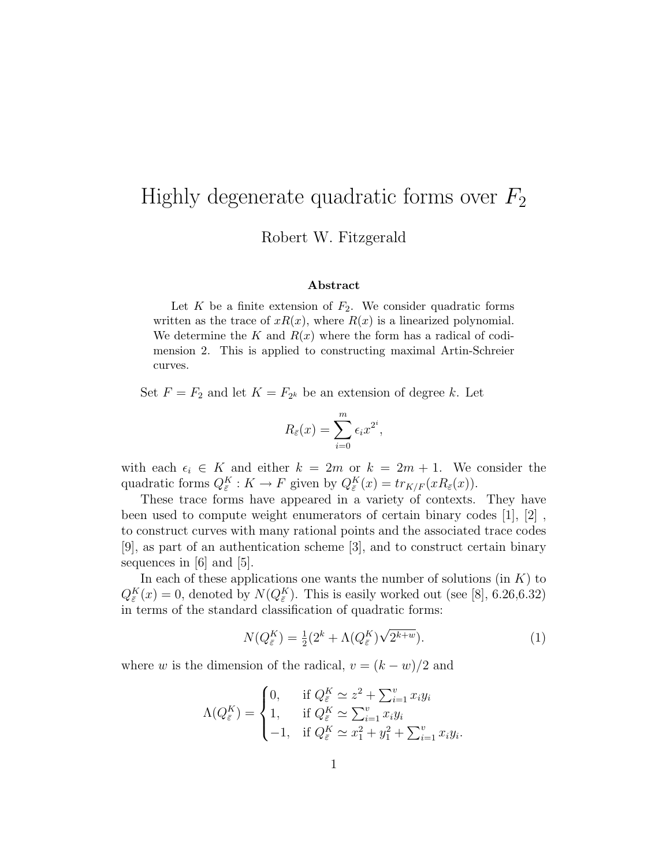# Highly degenerate quadratic forms over  $F_2$

Robert W. Fitzgerald

#### Abstract

Let  $K$  be a finite extension of  $F_2$ . We consider quadratic forms written as the trace of  $xR(x)$ , where  $R(x)$  is a linearized polynomial. We determine the K and  $R(x)$  where the form has a radical of codimension 2. This is applied to constructing maximal Artin-Schreier curves.

Set  $F = F_2$  and let  $K = F_{2^k}$  be an extension of degree k. Let

$$
R_{\bar{\varepsilon}}(x) = \sum_{i=0}^{m} \epsilon_i x^{2^i},
$$

with each  $\epsilon_i \in K$  and either  $k = 2m$  or  $k = 2m + 1$ . We consider the quadratic forms  $Q_{\bar{\varepsilon}}^K : K \to F$  given by  $Q_{\bar{\varepsilon}}^K(x) = tr_{K/F}(xR_{\bar{\varepsilon}}(x)).$ 

These trace forms have appeared in a variety of contexts. They have been used to compute weight enumerators of certain binary codes [1], [2] , to construct curves with many rational points and the associated trace codes [9], as part of an authentication scheme [3], and to construct certain binary sequences in [6] and [5].

In each of these applications one wants the number of solutions (in  $K$ ) to  $Q_{\bar{\varepsilon}}^{K}(x) = 0$ , denoted by  $N(Q_{\bar{\varepsilon}}^{K})$ . This is easily worked out (see [8], 6.26,6.32) in terms of the standard classification of quadratic forms:

$$
N(Q_{\bar{\varepsilon}}^K) = \frac{1}{2}(2^k + \Lambda(Q_{\bar{\varepsilon}}^K)\sqrt{2^{k+w}}). \tag{1}
$$

where w is the dimension of the radical,  $v = (k - w)/2$  and

$$
\Lambda(Q_{\bar{\varepsilon}}^K) = \begin{cases} 0, & \text{if } Q_{\bar{\varepsilon}}^K \simeq z^2 + \sum_{i=1}^v x_i y_i \\ 1, & \text{if } Q_{\bar{\varepsilon}}^K \simeq \sum_{i=1}^v x_i y_i \\ -1, & \text{if } Q_{\bar{\varepsilon}}^K \simeq x_1^2 + y_1^2 + \sum_{i=1}^v x_i y_i. \end{cases}
$$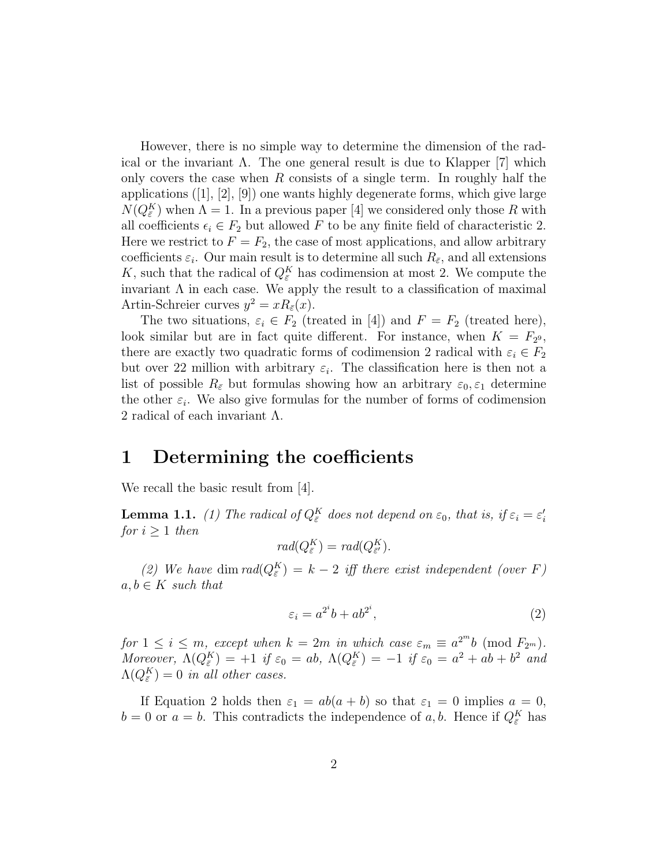However, there is no simple way to determine the dimension of the radical or the invariant  $\Lambda$ . The one general result is due to Klapper [7] which only covers the case when R consists of a single term. In roughly half the applications ([1], [2], [9]) one wants highly degenerate forms, which give large  $N(Q_{\bar{\varepsilon}}^{K})$  when  $\Lambda = 1$ . In a previous paper [4] we considered only those R with all coefficients  $\epsilon_i \in F_2$  but allowed F to be any finite field of characteristic 2. Here we restrict to  $F = F_2$ , the case of most applications, and allow arbitrary coefficients  $\varepsilon_i$ . Our main result is to determine all such  $R_{\bar{\varepsilon}}$ , and all extensions K, such that the radical of  $Q_{\bar{\varepsilon}}^{K}$  has codimension at most 2. We compute the invariant  $\Lambda$  in each case. We apply the result to a classification of maximal Artin-Schreier curves  $y^2 = xR_{\bar{\varepsilon}}(x)$ .

The two situations,  $\varepsilon_i \in F_2$  (treated in [4]) and  $F = F_2$  (treated here), look similar but are in fact quite different. For instance, when  $K = F_{2^9}$ , there are exactly two quadratic forms of codimension 2 radical with  $\varepsilon_i \in F_2$ but over 22 million with arbitrary  $\varepsilon_i$ . The classification here is then not a list of possible  $R_{\bar{\varepsilon}}$  but formulas showing how an arbitrary  $\varepsilon_0, \varepsilon_1$  determine the other  $\varepsilon_i$ . We also give formulas for the number of forms of codimension 2 radical of each invariant  $\Lambda$ .

## 1 Determining the coefficients

We recall the basic result from [4].

**Lemma 1.1.** (1) The radical of  $Q_{\bar{\varepsilon}}^K$  does not depend on  $\varepsilon_0$ , that is, if  $\varepsilon_i = \varepsilon'_i$ for  $i \geq 1$  then

$$
rad(Q_{\bar{\varepsilon}}^K) = rad(Q_{\bar{\varepsilon}'}^K).
$$

(2) We have dim  $rad(Q_{\bar{\varepsilon}}^{K}) = k-2$  iff there exist independent (over F)  $a, b \in K$  such that

$$
\varepsilon_i = a^{2^i}b + ab^{2^i},\tag{2}
$$

for  $1 \leq i \leq m$ , except when  $k = 2m$  in which case  $\varepsilon_m \equiv a^{2^m}b \pmod{F_{2^m}}$ . Moreover,  $\Lambda(Q_{\bar{\varepsilon}}^K) = +1$  if  $\varepsilon_0 = ab$ ,  $\Lambda(Q_{\bar{\varepsilon}}^K) = -1$  if  $\varepsilon_0 = a^2 + ab + b^2$  and  $\Lambda(Q^K_{\bar{\varepsilon}})=0$  in all other cases.

If Equation 2 holds then  $\varepsilon_1 = ab(a + b)$  so that  $\varepsilon_1 = 0$  implies  $a = 0$ ,  $b = 0$  or  $a = b$ . This contradicts the independence of a, b. Hence if  $Q_{\bar{\varepsilon}}^{K}$  has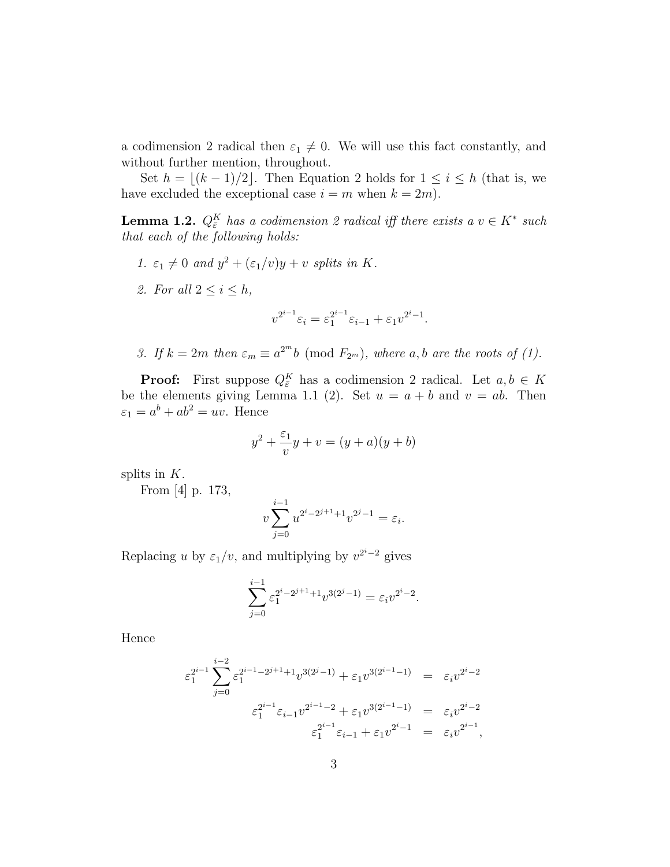a codimension 2 radical then  $\varepsilon_1 \neq 0$ . We will use this fact constantly, and without further mention, throughout.

Set  $h = \lfloor (k - 1)/2 \rfloor$ . Then Equation 2 holds for  $1 \le i \le h$  (that is, we have excluded the exceptional case  $i = m$  when  $k = 2m$ .

**Lemma 1.2.**  $Q_{\bar{\varepsilon}}^K$  has a codimension 2 radical iff there exists a  $v \in K^*$  such that each of the following holds:

- 1.  $\varepsilon_1 \neq 0$  and  $y^2 + (\varepsilon_1/v)y + v$  splits in K.
- 2. For all  $2 \leq i \leq h$ ,

$$
v^{2^{i-1}} \varepsilon_i = \varepsilon_1^{2^{i-1}} \varepsilon_{i-1} + \varepsilon_1 v^{2^i - 1}.
$$

3. If  $k = 2m$  then  $\varepsilon_m \equiv a^{2^m}b \pmod{F_{2^m}}$ , where a, b are the roots of (1).

**Proof:** First suppose  $Q_{\bar{\varepsilon}}^K$  has a codimension 2 radical. Let  $a, b \in K$ be the elements giving Lemma 1.1 (2). Set  $u = a + b$  and  $v = ab$ . Then  $\varepsilon_1 = a^b + ab^2 = uv$ . Hence

$$
y^2 + \frac{\varepsilon_1}{v}y + v = (y+a)(y+b)
$$

splits in  $K$ .

From [4] p. 173,

$$
v\sum_{j=0}^{i-1} u^{2^i - 2^{j+1} + 1} v^{2^j - 1} = \varepsilon_i.
$$

Replacing u by  $\varepsilon_1/v$ , and multiplying by  $v^{2^i-2}$  gives

$$
\sum_{j=0}^{i-1} \varepsilon_1^{2^i - 2^{j+1} + 1} v^{3(2^j - 1)} = \varepsilon_i v^{2^i - 2}.
$$

Hence

$$
\varepsilon_1^{2^{i-1}} \sum_{j=0}^{i-2} \varepsilon_1^{2^{i-1}-2^{j+1}+1} v^{3(2^j-1)} + \varepsilon_1 v^{3(2^{i-1}-1)} = \varepsilon_i v^{2^i-2}
$$
  

$$
\varepsilon_1^{2^{i-1}} \varepsilon_{i-1} v^{2^{i-1}-2} + \varepsilon_1 v^{3(2^{i-1}-1)} = \varepsilon_i v^{2^i-2}
$$
  

$$
\varepsilon_1^{2^{i-1}} \varepsilon_{i-1} + \varepsilon_1 v^{2^i-1} = \varepsilon_i v^{2^{i-1}},
$$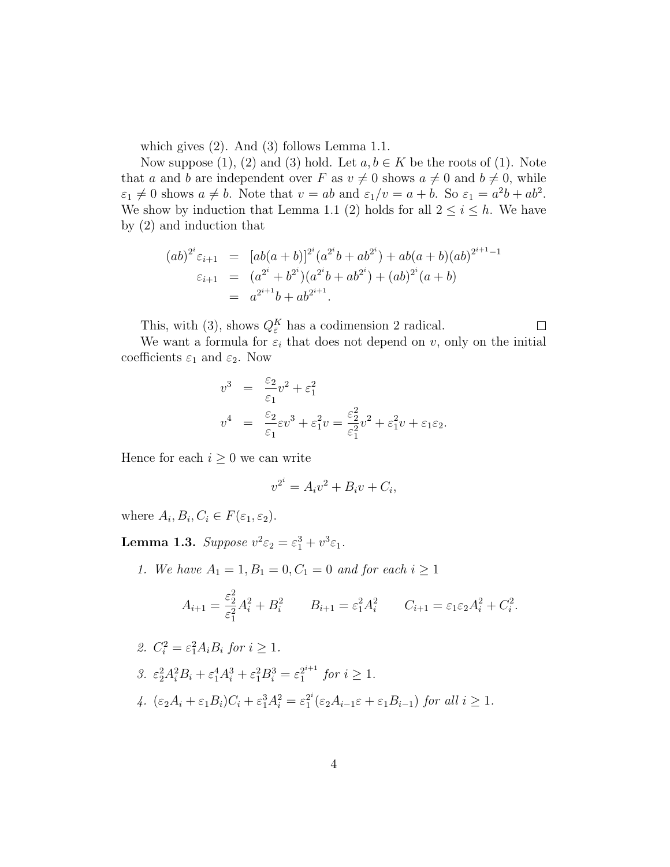which gives (2). And (3) follows Lemma 1.1.

Now suppose (1), (2) and (3) hold. Let  $a, b \in K$  be the roots of (1). Note that a and b are independent over F as  $v \neq 0$  shows  $a \neq 0$  and  $b \neq 0$ , while  $\varepsilon_1 \neq 0$  shows  $a \neq b$ . Note that  $v = ab$  and  $\varepsilon_1/v = a + b$ . So  $\varepsilon_1 = a^2b + ab^2$ . We show by induction that Lemma 1.1 (2) holds for all  $2 \leq i \leq h$ . We have by (2) and induction that

$$
(ab)^{2^i} \varepsilon_{i+1} = [ab(a+b)]^{2^i} (a^{2^i}b + ab^{2^i}) + ab(a+b)(ab)^{2^{i+1}-1}
$$
  
\n
$$
\varepsilon_{i+1} = (a^{2^i} + b^{2^i}) (a^{2^i}b + ab^{2^i}) + (ab)^{2^i} (a+b)
$$
  
\n
$$
= a^{2^{i+1}}b + ab^{2^{i+1}}.
$$

This, with (3), shows  $Q_{\bar{\varepsilon}}^{K}$  has a codimension 2 radical.

 $\Box$ 

We want a formula for  $\varepsilon_i$  that does not depend on v, only on the initial coefficients  $\varepsilon_1$  and  $\varepsilon_2$ . Now

$$
v^3 = \frac{\varepsilon_2}{\varepsilon_1} v^2 + \varepsilon_1^2
$$
  

$$
v^4 = \frac{\varepsilon_2}{\varepsilon_1} \varepsilon v^3 + \varepsilon_1^2 v = \frac{\varepsilon_2^2}{\varepsilon_1^2} v^2 + \varepsilon_1^2 v + \varepsilon_1 \varepsilon_2.
$$

Hence for each  $i \geq 0$  we can write

$$
v^{2^i} = A_i v^2 + B_i v + C_i,
$$

where  $A_i, B_i, C_i \in F(\varepsilon_1, \varepsilon_2)$ .

**Lemma 1.3.** Suppose  $v^2 \varepsilon_2 = \varepsilon_1^3 + v^3 \varepsilon_1$ .

1. We have  $A_1 = 1, B_1 = 0, C_1 = 0$  and for each  $i \ge 1$ 

$$
A_{i+1} = \frac{\varepsilon_2^2}{\varepsilon_1^2} A_i^2 + B_i^2 \qquad B_{i+1} = \varepsilon_1^2 A_i^2 \qquad C_{i+1} = \varepsilon_1 \varepsilon_2 A_i^2 + C_i^2.
$$

2. 
$$
C_i^2 = \varepsilon_1^2 A_i B_i
$$
 for  $i \ge 1$ .  
\n3.  $\varepsilon_2^2 A_i^2 B_i + \varepsilon_1^4 A_i^3 + \varepsilon_1^2 B_i^3 = \varepsilon_1^{2^{i+1}}$  for  $i \ge 1$ .  
\n4.  $(\varepsilon_2 A_i + \varepsilon_1 B_i) C_i + \varepsilon_1^3 A_i^2 = \varepsilon_1^{2^i} (\varepsilon_2 A_{i-1} \varepsilon + \varepsilon_1 B_{i-1})$  for all  $i \ge 1$ .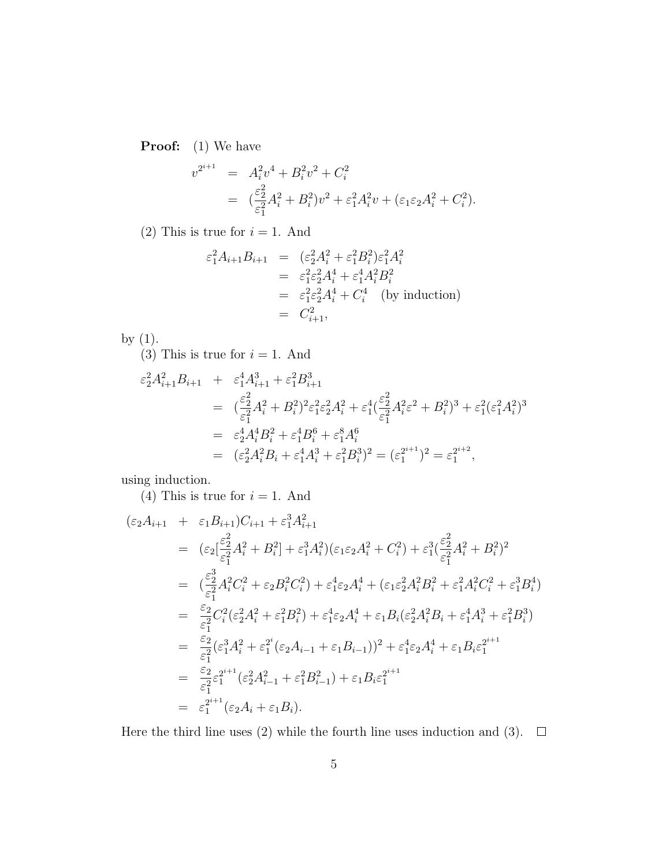**Proof:** (1) We have

$$
v^{2^{i+1}} = A_i^2 v^4 + B_i^2 v^2 + C_i^2
$$
  
= 
$$
(\frac{\varepsilon_2^2}{\varepsilon_1^2} A_i^2 + B_i^2) v^2 + \varepsilon_1^2 A_i^2 v + (\varepsilon_1 \varepsilon_2 A_i^2 + C_i^2).
$$

(2) This is true for  $i = 1$ . And

$$
\varepsilon_1^2 A_{i+1} B_{i+1} = (\varepsilon_2^2 A_i^2 + \varepsilon_1^2 B_i^2) \varepsilon_1^2 A_i^2
$$
  
\n
$$
= \varepsilon_1^2 \varepsilon_2^2 A_i^4 + \varepsilon_1^4 A_i^2 B_i^2
$$
  
\n
$$
= \varepsilon_1^2 \varepsilon_2^2 A_i^4 + C_i^4 \text{ (by induction)}
$$
  
\n
$$
= C_{i+1}^2,
$$

by (1).

(3) This is true for  $i = 1$ . And

$$
\varepsilon_2^2 A_{i+1}^2 B_{i+1} + \varepsilon_1^4 A_{i+1}^3 + \varepsilon_1^2 B_{i+1}^3
$$
  
\n
$$
= \left( \frac{\varepsilon_2^2}{\varepsilon_1^2} A_i^2 + B_i^2 \right) \varepsilon_1^2 \varepsilon_2^2 A_i^2 + \varepsilon_1^4 \left( \frac{\varepsilon_2^2}{\varepsilon_1^2} A_i^2 \varepsilon^2 + B_i^2 \right)^3 + \varepsilon_1^2 (\varepsilon_1^2 A_i^2)^3
$$
  
\n
$$
= \varepsilon_2^4 A_i^4 B_i^2 + \varepsilon_1^4 B_i^6 + \varepsilon_1^8 A_i^6
$$
  
\n
$$
= (\varepsilon_2^2 A_i^2 B_i + \varepsilon_1^4 A_i^3 + \varepsilon_1^2 B_i^3)^2 = (\varepsilon_1^{2^{i+1}})^2 = \varepsilon_1^{2^{i+2}},
$$

using induction.

(4) This is true for  $i = 1$ . And

$$
(\varepsilon_{2}A_{i+1} + \varepsilon_{1}B_{i+1})C_{i+1} + \varepsilon_{1}^{3}A_{i+1}^{2}
$$
\n
$$
= (\varepsilon_{2}[\frac{\varepsilon_{2}^{2}}{\varepsilon_{1}^{2}}A_{i}^{2} + B_{i}^{2}] + \varepsilon_{1}^{3}A_{i}^{2})(\varepsilon_{1}\varepsilon_{2}A_{i}^{2} + C_{i}^{2}) + \varepsilon_{1}^{3}(\frac{\varepsilon_{2}^{2}}{\varepsilon_{1}^{2}}A_{i}^{2} + B_{i}^{2})^{2}
$$
\n
$$
= (\frac{\varepsilon_{2}^{3}}{\varepsilon_{1}^{2}}A_{i}^{2}C_{i}^{2} + \varepsilon_{2}B_{i}^{2}C_{i}^{2}) + \varepsilon_{1}^{4}\varepsilon_{2}A_{i}^{4} + (\varepsilon_{1}\varepsilon_{2}^{2}A_{i}^{2}B_{i}^{2} + \varepsilon_{1}^{2}A_{i}^{2}C_{i}^{2} + \varepsilon_{1}^{3}B_{i}^{4})
$$
\n
$$
= \frac{\varepsilon_{2}}{\varepsilon_{1}^{2}}C_{i}^{2}(\varepsilon_{2}^{2}A_{i}^{2} + \varepsilon_{1}^{2}B_{i}^{2}) + \varepsilon_{1}^{4}\varepsilon_{2}A_{i}^{4} + \varepsilon_{1}B_{i}(\varepsilon_{2}^{2}A_{i}^{2}B_{i} + \varepsilon_{1}^{4}A_{i}^{3} + \varepsilon_{1}^{2}B_{i}^{3})
$$
\n
$$
= \frac{\varepsilon_{2}}{\varepsilon_{1}^{2}}(\varepsilon_{1}^{3}A_{i}^{2} + \varepsilon_{1}^{2}(\varepsilon_{2}A_{i-1} + \varepsilon_{1}B_{i-1}))^{2} + \varepsilon_{1}^{4}\varepsilon_{2}A_{i}^{4} + \varepsilon_{1}B_{i}\varepsilon_{1}^{2^{i+1}}
$$
\n
$$
= \frac{\varepsilon_{2}}{\varepsilon_{1}^{2}}\varepsilon_{1}^{2^{i+1}}(\varepsilon_{2}A_{i-1}^{2} + \varepsilon_{1}^{2}B_{i-1}^{2}) + \varepsilon_{1}
$$

Here the third line uses (2) while the fourth line uses induction and (3).  $\Box$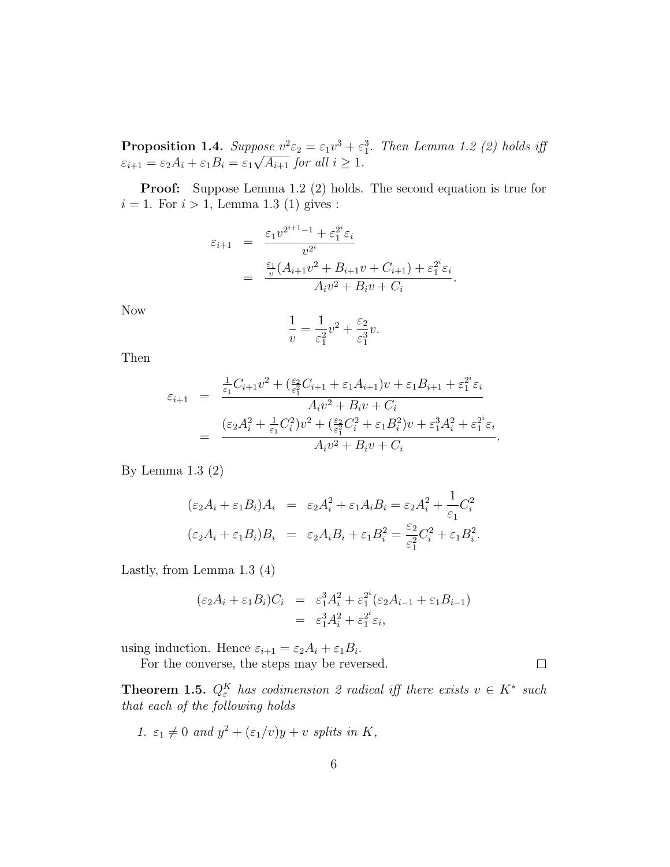**Proposition 1.4.** Suppose  $v^2 \varepsilon_2 = \varepsilon_1 v^3 + \varepsilon_1^3$ . Then Lemma 1.2 (2) holds iff  $\varepsilon_{i+1} = \varepsilon_2 A_i + \varepsilon_1 B_i = \varepsilon_1$  $^{\prime\prime\prime}$  $\overline{A_{i+1}}$  for all  $i \geq 1$ .

Proof: Suppose Lemma 1.2 (2) holds. The second equation is true for  $i = 1$ . For  $i > 1$ , Lemma 1.3 (1) gives :

$$
\varepsilon_{i+1} = \frac{\varepsilon_1 v^{2^{i+1}-1} + \varepsilon_1^{2^i} \varepsilon_i}{v^{2^i}} \\
= \frac{\frac{\varepsilon_1}{v} (A_{i+1} v^2 + B_{i+1} v + C_{i+1}) + \varepsilon_1^{2^i} \varepsilon_i}{A_i v^2 + B_i v + C_i}.
$$

Now

$$
\frac{1}{v} = \frac{1}{\varepsilon_1^2}v^2 + \frac{\varepsilon_2}{\varepsilon_1^3}v.
$$

Then

$$
\varepsilon_{i+1} = \frac{\frac{1}{\varepsilon_1}C_{i+1}v^2 + (\frac{\varepsilon_2}{\varepsilon_1^2}C_{i+1} + \varepsilon_1 A_{i+1})v + \varepsilon_1 B_{i+1} + \varepsilon_1^{2^i}\varepsilon_i}{A_i v^2 + B_i v + C_i}
$$

$$
= \frac{(\varepsilon_2 A_i^2 + \frac{1}{\varepsilon_1}C_i^2)v^2 + (\frac{\varepsilon_2}{\varepsilon_1^2}C_i^2 + \varepsilon_1 B_i^2)v + \varepsilon_1^3 A_i^2 + \varepsilon_1^{2^i}\varepsilon_i}{A_i v^2 + B_i v + C_i}.
$$

By Lemma 1.3 (2)

$$
(\varepsilon_2 A_i + \varepsilon_1 B_i) A_i = \varepsilon_2 A_i^2 + \varepsilon_1 A_i B_i = \varepsilon_2 A_i^2 + \frac{1}{\varepsilon_1} C_i^2
$$
  

$$
(\varepsilon_2 A_i + \varepsilon_1 B_i) B_i = \varepsilon_2 A_i B_i + \varepsilon_1 B_i^2 = \frac{\varepsilon_2}{\varepsilon_1^2} C_i^2 + \varepsilon_1 B_i^2.
$$

Lastly, from Lemma 1.3 (4)

$$
(\varepsilon_2 A_i + \varepsilon_1 B_i) C_i = \varepsilon_1^3 A_i^2 + \varepsilon_1^{2^i} (\varepsilon_2 A_{i-1} + \varepsilon_1 B_{i-1})
$$
  

$$
= \varepsilon_1^3 A_i^2 + \varepsilon_1^{2^i} \varepsilon_i,
$$

using induction. Hence  $\varepsilon_{i+1} = \varepsilon_2 A_i + \varepsilon_1 B_i$ .

For the converse, the steps may be reversed.  $\Box$ 

**Theorem 1.5.**  $Q_{\bar{\varepsilon}}^K$  has codimension 2 radical iff there exists  $v \in K^*$  such that each of the following holds

1. 
$$
\varepsilon_1 \neq 0
$$
 and  $y^2 + (\varepsilon_1/v)y + v$  splits in K,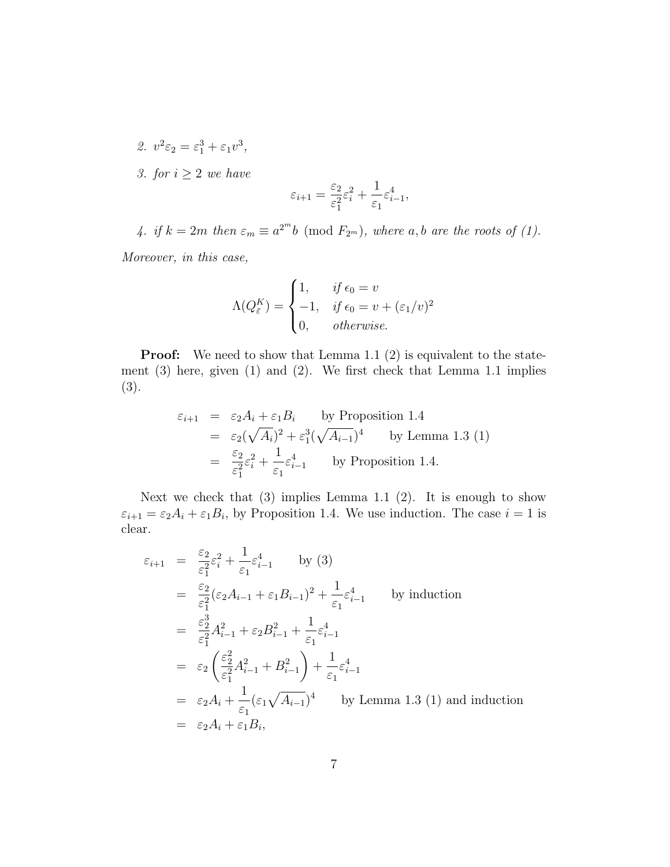- 2.  $v^2 \varepsilon_2 = \varepsilon_1^3 + \varepsilon_1 v^3$ ,
- 3. for  $i \geq 2$  we have

$$
\varepsilon_{i+1} = \frac{\varepsilon_2}{\varepsilon_1^2}\varepsilon_i^2 + \frac{1}{\varepsilon_1}\varepsilon_{i-1}^4,
$$

4. if  $k = 2m$  then  $\varepsilon_m \equiv a^{2^m}b \pmod{F_{2^m}}$ , where a, b are the roots of (1).

Moreover, in this case,

$$
\Lambda(Q_{\varepsilon}^{K}) = \begin{cases} 1, & \text{if } \epsilon_{0} = v \\ -1, & \text{if } \epsilon_{0} = v + (\varepsilon_{1}/v)^{2} \\ 0, & \text{otherwise.} \end{cases}
$$

**Proof:** We need to show that Lemma 1.1 (2) is equivalent to the statement (3) here, given (1) and (2). We first check that Lemma 1.1 implies (3).

$$
\varepsilon_{i+1} = \varepsilon_2 A_i + \varepsilon_1 B_i \quad \text{by Proposition 1.4}
$$
\n
$$
= \varepsilon_2 (\sqrt{A_i})^2 + \varepsilon_1^3 (\sqrt{A_{i-1}})^4 \quad \text{by Lemma 1.3 (1)}
$$
\n
$$
= \frac{\varepsilon_2}{\varepsilon_1^2} \varepsilon_i^2 + \frac{1}{\varepsilon_1} \varepsilon_{i-1}^4 \quad \text{by Proposition 1.4.}
$$

Next we check that  $(3)$  implies Lemma 1.1  $(2)$ . It is enough to show  $\varepsilon_{i+1} = \varepsilon_2 A_i + \varepsilon_1 B_i$ , by Proposition 1.4. We use induction. The case  $i = 1$  is clear.

$$
\varepsilon_{i+1} = \frac{\varepsilon_2}{\varepsilon_1^2} \varepsilon_i^2 + \frac{1}{\varepsilon_1} \varepsilon_{i-1}^4 \qquad \text{by (3)}
$$
\n
$$
= \frac{\varepsilon_2}{\varepsilon_1^2} (\varepsilon_2 A_{i-1} + \varepsilon_1 B_{i-1})^2 + \frac{1}{\varepsilon_1} \varepsilon_{i-1}^4 \qquad \text{by induction}
$$
\n
$$
= \frac{\varepsilon_2^3}{\varepsilon_1^2} A_{i-1}^2 + \varepsilon_2 B_{i-1}^2 + \frac{1}{\varepsilon_1} \varepsilon_{i-1}^4
$$
\n
$$
= \varepsilon_2 \left( \frac{\varepsilon_2^2}{\varepsilon_1^2} A_{i-1}^2 + B_{i-1}^2 \right) + \frac{1}{\varepsilon_1} \varepsilon_{i-1}^4
$$
\n
$$
= \varepsilon_2 A_i + \frac{1}{\varepsilon_1} (\varepsilon_1 \sqrt{A_{i-1}})^4 \qquad \text{by Lemma 1.3 (1) and induction}
$$
\n
$$
= \varepsilon_2 A_i + \varepsilon_1 B_i,
$$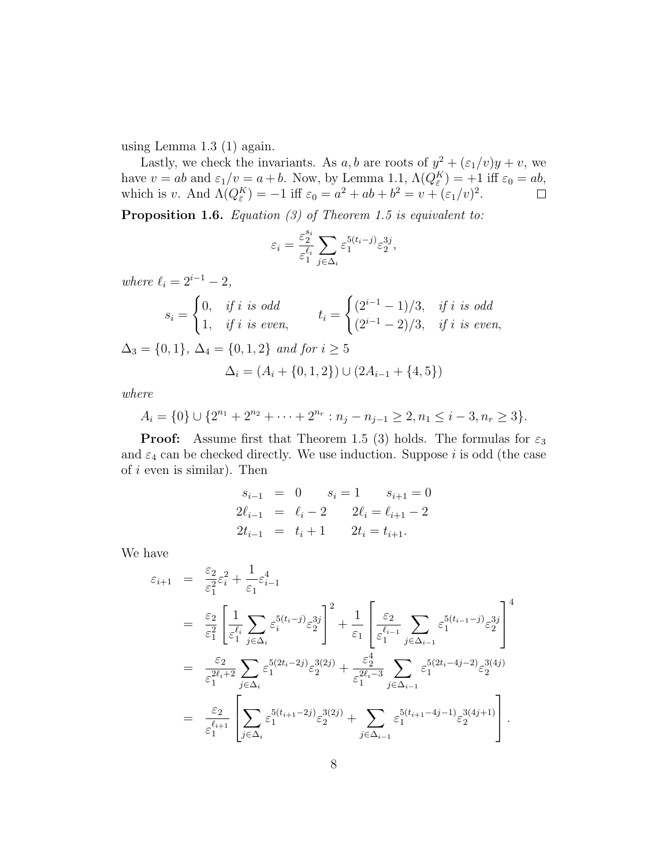using Lemma 1.3 (1) again.

Lastly, we check the invariants. As a, b are roots of  $y^2 + (\varepsilon_1/v)y + v$ , we have  $v = ab$  and  $\varepsilon_1/v = a + b$ . Now, by Lemma 1.1,  $\Lambda(Q_{\bar{\varepsilon}}^K) = +1$  iff  $\varepsilon_0 = ab$ , which is v. And  $\Lambda(Q_{\bar{\varepsilon}}^K) = -1$  iff  $\varepsilon_0 = a^2 + ab + b^2 = v + (\varepsilon_1/v)^2$ .

**Proposition 1.6.** Equation (3) of Theorem 1.5 is equivalent to:

$$
\varepsilon_i = \frac{\varepsilon_2^{s_i}}{\varepsilon_1^{\ell_i}} \sum_{j \in \Delta_i} \varepsilon_1^{5(t_i-j)} \varepsilon_2^{3j},
$$

where  $\ell_i = 2^{i-1} - 2$ ,

$$
s_i = \begin{cases} 0, & \text{if } i \text{ is odd} \\ 1, & \text{if } i \text{ is even}, \end{cases} \qquad t_i = \begin{cases} (2^{i-1} - 1)/3, & \text{if } i \text{ is odd} \\ (2^{i-1} - 2)/3, & \text{if } i \text{ is even}, \end{cases}
$$

$$
\Delta_3 = \{0, 1\}, \ \Delta_4 = \{0, 1, 2\} \ \text{and for } i \ge 5
$$

$$
\Delta_i = (A_i + \{0, 1, 2\}) \cup (2A_{i-1} + \{4, 5\})
$$

where

$$
A_i = \{0\} \cup \{2^{n_1} + 2^{n_2} + \dots + 2^{n_r} : n_j - n_{j-1} \ge 2, n_1 \le i - 3, n_r \ge 3\}.
$$

**Proof:** Assume first that Theorem 1.5 (3) holds. The formulas for  $\varepsilon_3$ and  $\varepsilon_4$  can be checked directly. We use induction. Suppose i is odd (the case of  $i$  even is similar). Then

$$
s_{i-1} = 0 \t s_i = 1 \t s_{i+1} = 0
$$
  
\n
$$
2\ell_{i-1} = \ell_i - 2 \t 2\ell_i = \ell_{i+1} - 2
$$
  
\n
$$
2t_{i-1} = t_i + 1 \t 2t_i = t_{i+1}.
$$

We have

$$
\varepsilon_{i+1} = \frac{\varepsilon_2}{\varepsilon_1^2} \varepsilon_i^2 + \frac{1}{\varepsilon_1} \varepsilon_{i-1}^4
$$
\n
$$
= \frac{\varepsilon_2}{\varepsilon_1^2} \left[ \frac{1}{\varepsilon_1^{\ell_i}} \sum_{j \in \Delta_i} \varepsilon_i^{5(t_i-j)} \varepsilon_2^{3j} \right]^2 + \frac{1}{\varepsilon_1} \left[ \frac{\varepsilon_2}{\varepsilon_1^{\ell_{i-1}}} \sum_{j \in \Delta_{i-1}} \varepsilon_1^{5(t_{i-1}-j)} \varepsilon_2^{3j} \right]^4
$$
\n
$$
= \frac{\varepsilon_2}{\varepsilon_1^{2\ell_i+2}} \sum_{j \in \Delta_i} \varepsilon_1^{5(2t_i-2j)} \varepsilon_2^{3(2j)} + \frac{\varepsilon_2^4}{\varepsilon_1^{2\ell_i-3}} \sum_{j \in \Delta_{i-1}} \varepsilon_1^{5(2t_i-4j-2)} \varepsilon_2^{3(4j)}
$$
\n
$$
= \frac{\varepsilon_2}{\varepsilon_1^{\ell_{i+1}}} \left[ \sum_{j \in \Delta_i} \varepsilon_1^{5(t_{i+1}-2j)} \varepsilon_2^{3(2j)} + \sum_{j \in \Delta_{i-1}} \varepsilon_1^{5(t_{i+1}-4j-1)} \varepsilon_2^{3(4j+1)} \right].
$$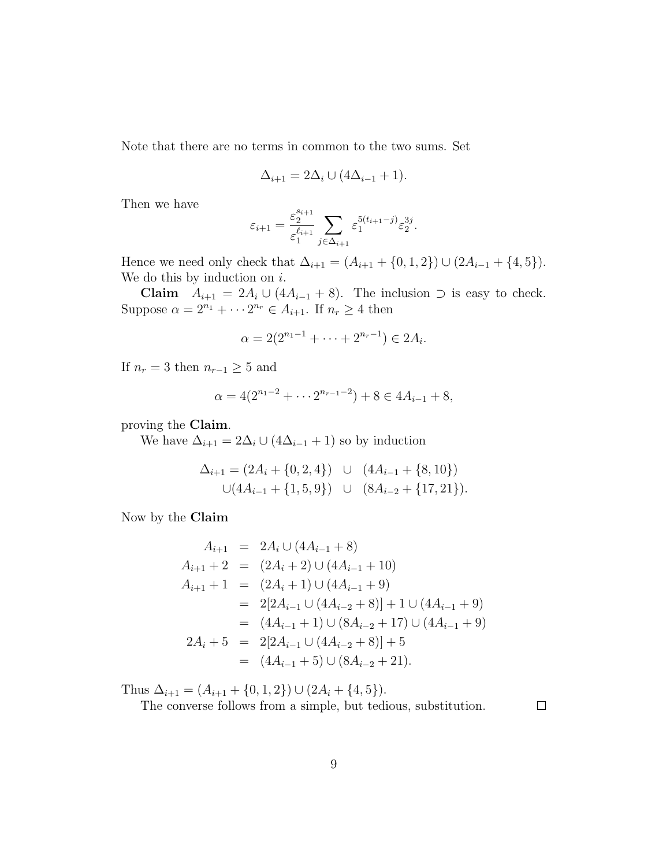Note that there are no terms in common to the two sums. Set

$$
\Delta_{i+1} = 2\Delta_i \cup (4\Delta_{i-1} + 1).
$$

Then we have

$$
\varepsilon_{i+1} = \frac{\varepsilon_2^{s_{i+1}}}{\varepsilon_1^{\ell_{i+1}}} \sum_{j \in \Delta_{i+1}} \varepsilon_1^{5(t_{i+1}-j)} \varepsilon_2^{3j}.
$$

Hence we need only check that  $\Delta_{i+1} = (A_{i+1} + \{0, 1, 2\}) \cup (2A_{i-1} + \{4, 5\}).$ We do this by induction on  $i$ .

Claim  $A_{i+1} = 2A_i \cup (4A_{i-1} + 8)$ . The inclusion ⊃ is easy to check. Suppose  $\alpha = 2^{n_1} + \cdots + 2^{n_r} \in A_{i+1}$ . If  $n_r \geq 4$  then

$$
\alpha = 2(2^{n_1 - 1} + \dots + 2^{n_r - 1}) \in 2A_i.
$$

If  $n_r = 3$  then  $n_{r-1} \geq 5$  and

$$
\alpha = 4(2^{n_1 - 2} + \dots + 2^{n_{r-1} - 2}) + 8 \in 4A_{i-1} + 8,
$$

proving the Claim.

We have  $\Delta_{i+1} = 2\Delta_i \cup (4\Delta_{i-1} + 1)$  so by induction

$$
\Delta_{i+1} = (2A_i + \{0, 2, 4\}) \cup (4A_{i-1} + \{8, 10\})
$$
  

$$
\cup (4A_{i-1} + \{1, 5, 9\}) \cup (8A_{i-2} + \{17, 21\}).
$$

Now by the Claim

$$
A_{i+1} = 2A_i \cup (4A_{i-1} + 8)
$$
  
\n
$$
A_{i+1} + 2 = (2A_i + 2) \cup (4A_{i-1} + 10)
$$
  
\n
$$
A_{i+1} + 1 = (2A_i + 1) \cup (4A_{i-1} + 9)
$$
  
\n
$$
= 2[2A_{i-1} \cup (4A_{i-2} + 8)] + 1 \cup (4A_{i-1} + 9)
$$
  
\n
$$
= (4A_{i-1} + 1) \cup (8A_{i-2} + 17) \cup (4A_{i-1} + 9)
$$
  
\n
$$
2A_i + 5 = 2[2A_{i-1} \cup (4A_{i-2} + 8)] + 5
$$
  
\n
$$
= (4A_{i-1} + 5) \cup (8A_{i-2} + 21).
$$

Thus  $\Delta_{i+1} = (A_{i+1} + \{0, 1, 2\}) \cup (2A_i + \{4, 5\}).$ 

The converse follows from a simple, but tedious, substitution.

 $\Box$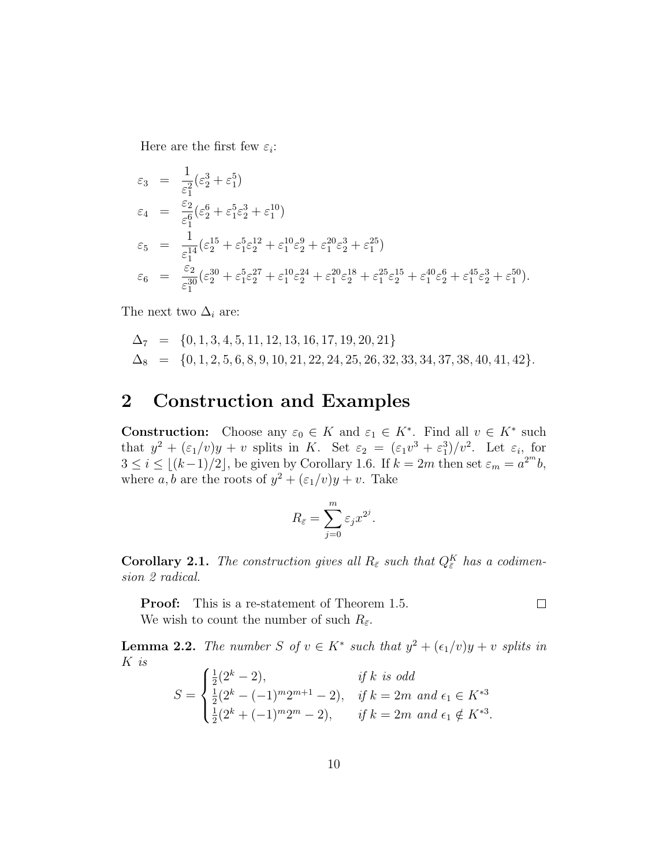Here are the first few  $\varepsilon_i$ :

$$
\begin{array}{rcl}\n\varepsilon_3 &=& \frac{1}{\varepsilon_1^2} (\varepsilon_2^3 + \varepsilon_1^5) \\
\varepsilon_4 &=& \frac{\varepsilon_2}{\varepsilon_1^6} (\varepsilon_2^6 + \varepsilon_1^5 \varepsilon_2^3 + \varepsilon_1^{10}) \\
\varepsilon_5 &=& \frac{1}{\varepsilon_1^{14}} (\varepsilon_2^{15} + \varepsilon_1^5 \varepsilon_2^{12} + \varepsilon_1^{10} \varepsilon_2^9 + \varepsilon_1^{20} \varepsilon_2^3 + \varepsilon_1^{25}) \\
\varepsilon_6 &=& \frac{\varepsilon_2}{\varepsilon_1^{30}} (\varepsilon_2^{30} + \varepsilon_1^5 \varepsilon_2^{27} + \varepsilon_1^{10} \varepsilon_2^{24} + \varepsilon_1^{20} \varepsilon_2^{18} + \varepsilon_1^{25} \varepsilon_2^{15} + \varepsilon_1^{40} \varepsilon_2^6 + \varepsilon_1^{45} \varepsilon_2^3 + \varepsilon_1^{50}).\n\end{array}
$$

The next two  $\Delta_i$  are:

$$
\Delta_7 = \{0, 1, 3, 4, 5, 11, 12, 13, 16, 17, 19, 20, 21\}
$$
  
\n
$$
\Delta_8 = \{0, 1, 2, 5, 6, 8, 9, 10, 21, 22, 24, 25, 26, 32, 33, 34, 37, 38, 40, 41, 42\}.
$$

## 2 Construction and Examples

**Construction:** Choose any  $\varepsilon_0 \in K$  and  $\varepsilon_1 \in K^*$ . Find all  $v \in K^*$  such that  $y^2 + (\varepsilon_1/v)y + v$  splits in K. Set  $\varepsilon_2 = (\varepsilon_1 v^3 + \varepsilon_1^3)/v^2$ . Let  $\varepsilon_i$ , for  $3 \leq i \leq \lfloor (k-1)/2 \rfloor$ , be given by Corollary 1.6. If  $k = 2m$  then set  $\varepsilon_m = a^{2^m}b$ , where a, b are the roots of  $y^2 + (\varepsilon_1/v)y + v$ . Take

$$
R_{\bar{\varepsilon}} = \sum_{j=0}^{m} \varepsilon_j x^{2^j}.
$$

**Corollary 2.1.** The construction gives all  $R_{\bar{\varepsilon}}$  such that  $Q_{\bar{\varepsilon}}^K$  has a codimension 2 radical.

**Proof:** This is a re-statement of Theorem 1.5.

 $\Box$ 

We wish to count the number of such  $R_{\bar{\varepsilon}}$ .

**Lemma 2.2.** The number S of  $v \in K^*$  such that  $y^2 + (\epsilon_1/v)y + v$  splits in K is  $\overline{ }$ 

$$
S = \begin{cases} \frac{1}{2}(2^{k} - 2), & \text{if } k \text{ is odd} \\ \frac{1}{2}(2^{k} - (-1)^{m}2^{m+1} - 2), & \text{if } k = 2m \text{ and } \epsilon_{1} \in K^{*3} \\ \frac{1}{2}(2^{k} + (-1)^{m}2^{m} - 2), & \text{if } k = 2m \text{ and } \epsilon_{1} \notin K^{*3} .\end{cases}
$$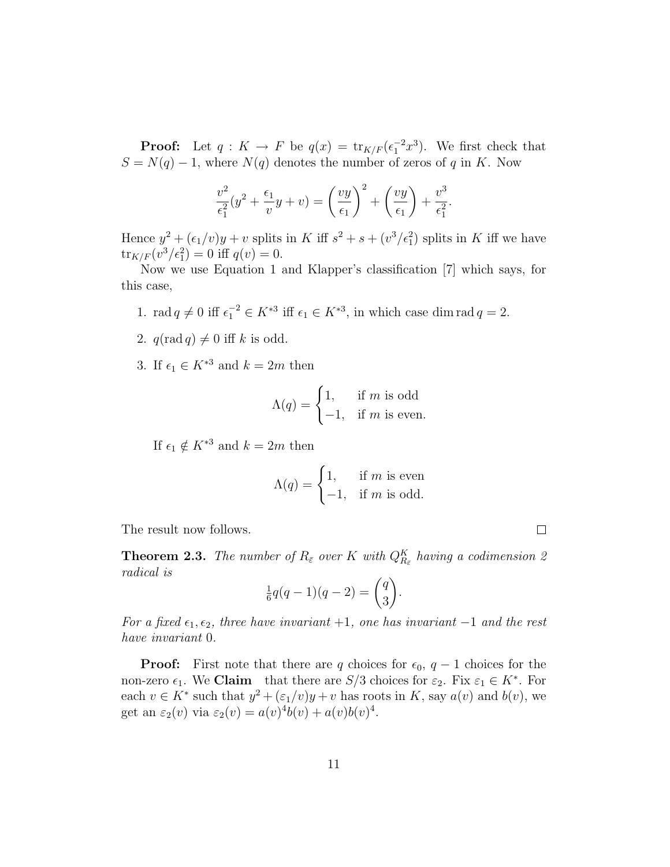**Proof:** Let  $q: K \to F$  be  $q(x) = \text{tr}_{K/F}(\epsilon_1^{-2}x^3)$ . We first check that  $S = N(q) - 1$ , where  $N(q)$  denotes the number of zeros of q in K. Now

$$
\frac{v^2}{\epsilon_1^2}(y^2 + \frac{\epsilon_1}{v}y + v) = \left(\frac{vy}{\epsilon_1}\right)^2 + \left(\frac{vy}{\epsilon_1}\right) + \frac{v^3}{\epsilon_1^2}.
$$

Hence  $y^2 + (\epsilon_1/v)y + v$  splits in K iff  $s^2 + s + (v^3/\epsilon_1^2)$  splits in K iff we have  ${\rm tr}_{K/F}(v^3/\epsilon_1^2) = 0$  iff  $q(v) = 0$ .

Now we use Equation 1 and Klapper's classification [7] which says, for this case,

- 1. rad  $q \neq 0$  iff  $\epsilon_1^{-2} \in K^{*3}$  iff  $\epsilon_1 \in K^{*3}$ , in which case dim rad  $q = 2$ .
- 2.  $q(\text{rad } q) \neq 0$  iff k is odd.
- 3. If  $\epsilon_1 \in K^{*3}$  and  $k = 2m$  then

$$
\Lambda(q) = \begin{cases} 1, & \text{if } m \text{ is odd} \\ -1, & \text{if } m \text{ is even.} \end{cases}
$$

If  $\epsilon_1 \notin K^{*3}$  and  $k = 2m$  then

$$
\Lambda(q) = \begin{cases} 1, & \text{if } m \text{ is even} \\ -1, & \text{if } m \text{ is odd.} \end{cases}
$$

The result now follows.

**Theorem 2.3.** The number of  $R_{\bar{\varepsilon}}$  over K with  $Q_{R_{\bar{\varepsilon}}}^{K}$  having a codimension 2 radical is  $\mathbf{r}$ 

$$
\frac{1}{6}q(q-1)(q-2) = \binom{q}{3}.
$$

For a fixed  $\epsilon_1, \epsilon_2$ , three have invariant +1, one has invariant -1 and the rest have invariant 0.

**Proof:** First note that there are q choices for  $\epsilon_0$ ,  $q-1$  choices for the non-zero  $\epsilon_1$ . We **Claim** that there are  $S/3$  choices for  $\varepsilon_2$ . Fix  $\varepsilon_1 \in K^*$ . For each  $v \in K^*$  such that  $y^2 + (\varepsilon_1/v)y + v$  has roots in K, say  $a(v)$  and  $b(v)$ , we get an  $\varepsilon_2(v)$  via  $\varepsilon_2(v) = a(v)^4 b(v) + a(v) b(v)^4$ .

 $\Box$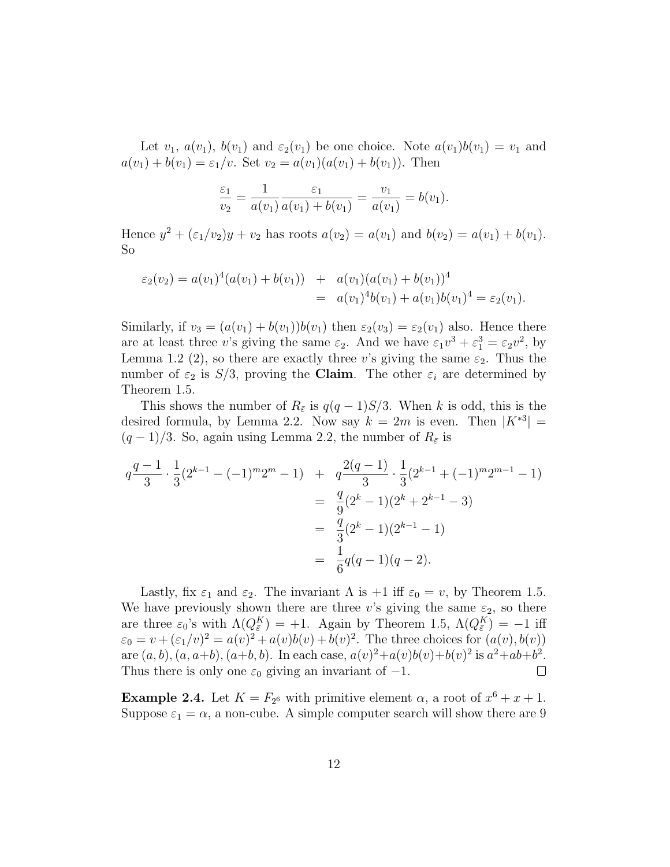Let  $v_1$ ,  $a(v_1)$ ,  $b(v_1)$  and  $\varepsilon_2(v_1)$  be one choice. Note  $a(v_1)b(v_1) = v_1$  and  $a(v_1) + b(v_1) = \varepsilon_1/v$ . Set  $v_2 = a(v_1)(a(v_1) + b(v_1))$ . Then

$$
\frac{\varepsilon_1}{v_2} = \frac{1}{a(v_1)} \frac{\varepsilon_1}{a(v_1) + b(v_1)} = \frac{v_1}{a(v_1)} = b(v_1).
$$

Hence  $y^2 + (\varepsilon_1/v_2)y + v_2$  has roots  $a(v_2) = a(v_1)$  and  $b(v_2) = a(v_1) + b(v_1)$ . So

$$
\varepsilon_2(v_2) = a(v_1)^4(a(v_1) + b(v_1)) + a(v_1)(a(v_1) + b(v_1))^4
$$
  
=  $a(v_1)^4b(v_1) + a(v_1)b(v_1)^4 = \varepsilon_2(v_1).$ 

Similarly, if  $v_3 = (a(v_1) + b(v_1))b(v_1)$  then  $\varepsilon_2(v_3) = \varepsilon_2(v_1)$  also. Hence there are at least three v's giving the same  $\varepsilon_2$ . And we have  $\varepsilon_1 v^3 + \varepsilon_1^3 = \varepsilon_2 v^2$ , by Lemma 1.2 (2), so there are exactly three v's giving the same  $\varepsilon_2$ . Thus the number of  $\varepsilon_2$  is  $S/3$ , proving the **Claim**. The other  $\varepsilon_i$  are determined by Theorem 1.5.

This shows the number of  $R_{\bar{\varepsilon}}$  is  $q(q-1)S/3$ . When k is odd, this is the desired formula, by Lemma 2.2. Now say  $k = 2m$  is even. Then  $|K^{*3}| =$  $(q-1)/3$ . So, again using Lemma 2.2, the number of  $R_{\bar{\varepsilon}}$  is

$$
q\frac{q-1}{3} \cdot \frac{1}{3} (2^{k-1} - (-1)^m 2^m - 1) + q\frac{2(q-1)}{3} \cdot \frac{1}{3} (2^{k-1} + (-1)^m 2^{m-1} - 1)
$$
  
= 
$$
\frac{q}{9} (2^k - 1)(2^k + 2^{k-1} - 3)
$$
  
= 
$$
\frac{q}{3} (2^k - 1)(2^{k-1} - 1)
$$
  
= 
$$
\frac{1}{6} q(q-1)(q-2).
$$

Lastly, fix  $\varepsilon_1$  and  $\varepsilon_2$ . The invariant  $\Lambda$  is  $+1$  iff  $\varepsilon_0 = v$ , by Theorem 1.5. We have previously shown there are three v's giving the same  $\varepsilon_2$ , so there are three  $\varepsilon_0$ 's with  $\Lambda(Q^K_{\bar{\varepsilon}}) = +1$ . Again by Theorem 1.5,  $\Lambda(Q^K_{\bar{\varepsilon}}) = -1$  iff  $\varepsilon_0 = v + (\varepsilon_1/v)^2 = a(v)^2 + a(v)b(v) + b(v)^2$ . The three choices for  $(a(v), b(v))$ are  $(a, b), (a, a+b), (a+b, b)$ . In each case,  $a(v)^{2}+a(v)b(v)+b(v)^{2}$  is  $a^{2}+ab+b^{2}$ . Thus there is only one  $\varepsilon_0$  giving an invariant of  $-1$ .  $\Box$ 

**Example 2.4.** Let  $K = F_{2^6}$  with primitive element  $\alpha$ , a root of  $x^6 + x + 1$ . Suppose  $\varepsilon_1 = \alpha$ , a non-cube. A simple computer search will show there are 9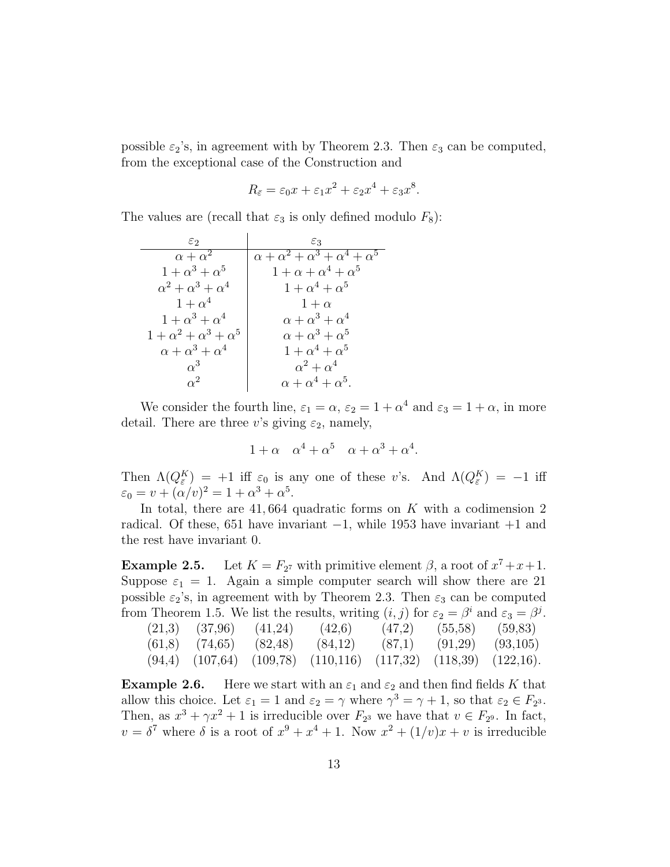possible  $\varepsilon_2$ 's, in agreement with by Theorem 2.3. Then  $\varepsilon_3$  can be computed, from the exceptional case of the Construction and

$$
R_{\bar{\varepsilon}} = \varepsilon_0 x + \varepsilon_1 x^2 + \varepsilon_2 x^4 + \varepsilon_3 x^8.
$$

The values are (recall that  $\varepsilon_3$  is only defined modulo  $F_8$ ):

| $\varepsilon_2$                  | $\varepsilon_3$                                      |  |  |
|----------------------------------|------------------------------------------------------|--|--|
| $\alpha + \alpha^2$              | $\alpha + \alpha^2 + \alpha^3 + \alpha^4 + \alpha^5$ |  |  |
| $1+\alpha^3+\alpha^5$            | $1+\alpha+\alpha^4+\alpha^5$                         |  |  |
| $\alpha^2 + \alpha^3 + \alpha^4$ | $1+\alpha^4+\alpha^5$                                |  |  |
| $1+\alpha^4$                     | $1+\alpha$                                           |  |  |
| $1+\alpha^3+\alpha^4$            | $\alpha + \alpha^3 + \alpha^4$                       |  |  |
| $1+\alpha^2+\alpha^3+\alpha^5$   | $\alpha + \alpha^3 + \alpha^5$                       |  |  |
| $\alpha + \alpha^3 + \alpha^4$   | $1+\alpha^4+\alpha^5$                                |  |  |
| $\alpha^3$                       | $\alpha^2 + \alpha^4$                                |  |  |
| $\alpha^2$                       | $\alpha + \alpha^4 + \alpha^5.$                      |  |  |

We consider the fourth line,  $\varepsilon_1 = \alpha$ ,  $\varepsilon_2 = 1 + \alpha^4$  and  $\varepsilon_3 = 1 + \alpha$ , in more detail. There are three v's giving  $\varepsilon_2$ , namely,

$$
1 + \alpha \quad \alpha^4 + \alpha^5 \quad \alpha + \alpha^3 + \alpha^4.
$$

Then  $\Lambda(Q_{\bar{\varepsilon}}^K) = +1$  iff  $\varepsilon_0$  is any one of these v's. And  $\Lambda(Q_{\bar{\varepsilon}}^K) = -1$  iff  $\varepsilon_0 = v + (\alpha/v)^2 = 1 + \alpha^3 + \alpha^5.$ 

In total, there are  $41,664$  quadratic forms on K with a codimension 2 radical. Of these, 651 have invariant −1, while 1953 have invariant +1 and the rest have invariant 0.

Example  $2.5$ . *7* with primitive element  $\beta$ , a root of  $x^7 + x + 1$ . Suppose  $\varepsilon_1 = 1$ . Again a simple computer search will show there are 21 possible  $\varepsilon_2$ 's, in agreement with by Theorem 2.3. Then  $\varepsilon_3$  can be computed from Theorem 1.5. We list the results, writing  $(i, j)$  for  $\varepsilon_2 = \beta^i$  and  $\varepsilon_3 = \beta^j$ .

|  | $(21,3)$ $(37,96)$ $(41,24)$ $(42,6)$                                         | $(47,2)$ $(55,58)$ $(59,83)$ |  |
|--|-------------------------------------------------------------------------------|------------------------------|--|
|  | $(61,8)$ $(74,65)$ $(82,48)$ $(84,12)$ $(87,1)$ $(91,29)$ $(93,105)$          |                              |  |
|  | $(94,4)$ $(107,64)$ $(109,78)$ $(110,116)$ $(117,32)$ $(118,39)$ $(122,16)$ . |                              |  |

**Example 2.6.** Here we start with an  $\varepsilon_1$  and  $\varepsilon_2$  and then find fields K that allow this choice. Let  $\varepsilon_1 = 1$  and  $\varepsilon_2 = \gamma$  where  $\gamma^3 = \gamma + 1$ , so that  $\varepsilon_2 \in F_{2^3}$ . Then, as  $x^3 + \gamma x^2 + 1$  is irreducible over  $F_{2^3}$  we have that  $v \in F_{2^9}$ . In fact,  $v = \delta^7$  where  $\delta$  is a root of  $x^9 + x^4 + 1$ . Now  $x^2 + (1/v)x + v$  is irreducible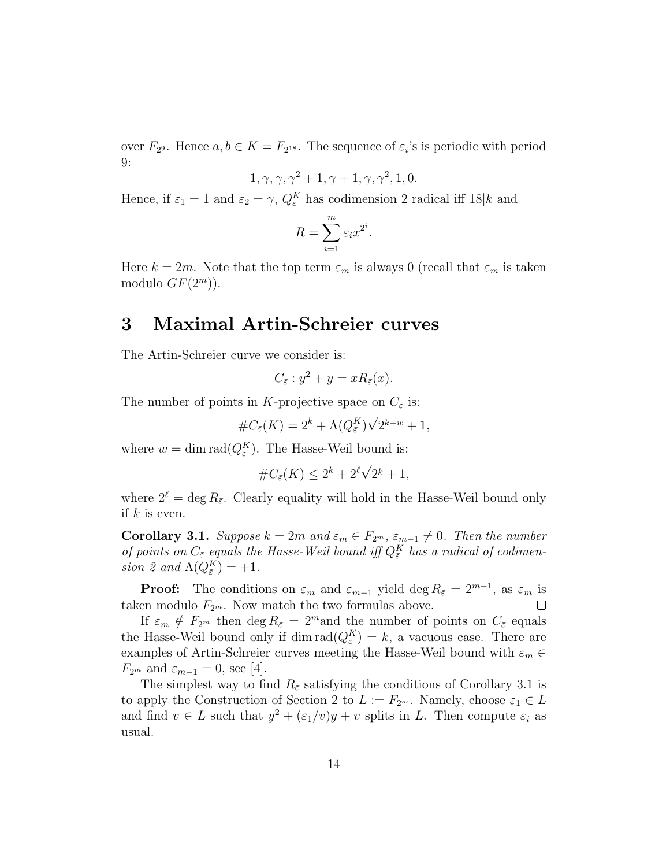over  $F_{29}$ . Hence  $a, b \in K = F_{2^{18}}$ . The sequence of  $\varepsilon_i$ 's is periodic with period 9:

$$
1, \gamma, \gamma, \gamma^2 + 1, \gamma + 1, \gamma, \gamma^2, 1, 0.
$$

Hence, if  $\varepsilon_1 = 1$  and  $\varepsilon_2 = \gamma$ ,  $Q_{\bar{\varepsilon}}^K$  has codimension 2 radical iff  $18|k$  and

$$
R = \sum_{i=1}^{m} \varepsilon_i x^{2^i}.
$$

Here  $k = 2m$ . Note that the top term  $\varepsilon_m$  is always 0 (recall that  $\varepsilon_m$  is taken modulo  $GF(2^m)$ ).

## 3 Maximal Artin-Schreier curves

The Artin-Schreier curve we consider is:

$$
C_{\bar{\varepsilon}}: y^2 + y = xR_{\bar{\varepsilon}}(x).
$$

The number of points in K-projective space on  $C_{\bar{\varepsilon}}$  is:

$$
#C_{\bar{\varepsilon}}(K) = 2^{k} + \Lambda(Q_{\bar{\varepsilon}}^{K})\sqrt{2^{k+w}} + 1,
$$

where  $w = \dim \text{rad}(Q_{\bar{\varepsilon}}^K)$ . The Hasse-Weil bound is:

$$
\#C_{\bar{\varepsilon}}(K) \le 2^k + 2^{\ell} \sqrt{2^k} + 1,
$$

where  $2^{\ell} = \deg R_{\bar{\varepsilon}}$ . Clearly equality will hold in the Hasse-Weil bound only if  $k$  is even.

**Corollary 3.1.** Suppose  $k = 2m$  and  $\varepsilon_m \in F_{2^m}, \varepsilon_{m-1} \neq 0$ . Then the number of points on  $C_{\bar{\varepsilon}}$  equals the Hasse-Weil bound iff  $Q_{\bar{\varepsilon}}^K$  has a radical of codimension 2 and  $\Lambda(Q_{\bar{\varepsilon}}^K) = +1$ .

**Proof:** The conditions on  $\varepsilon_m$  and  $\varepsilon_{m-1}$  yield deg  $R_{\bar{\varepsilon}} = 2^{m-1}$ , as  $\varepsilon_m$  is taken modulo  $F_{2^m}$ . Now match the two formulas above.  $\Box$ 

If  $\varepsilon_m \notin F_{2^m}$  then  $\deg R_{\bar{\varepsilon}} = 2^m$  and the number of points on  $C_{\bar{\varepsilon}}$  equals the Hasse-Weil bound only if dim  $\text{rad}(Q_{\bar{\varepsilon}}^K) = k$ , a vacuous case. There are examples of Artin-Schreier curves meeting the Hasse-Weil bound with  $\varepsilon_m \in$  $F_{2^m}$  and  $\varepsilon_{m-1}=0$ , see [4].

The simplest way to find  $R_{\bar{\varepsilon}}$  satisfying the conditions of Corollary 3.1 is to apply the Construction of Section 2 to  $L := F_{2^m}$ . Namely, choose  $\varepsilon_1 \in L$ and find  $v \in L$  such that  $y^2 + (\varepsilon_1/v)y + v$  splits in L. Then compute  $\varepsilon_i$  as usual.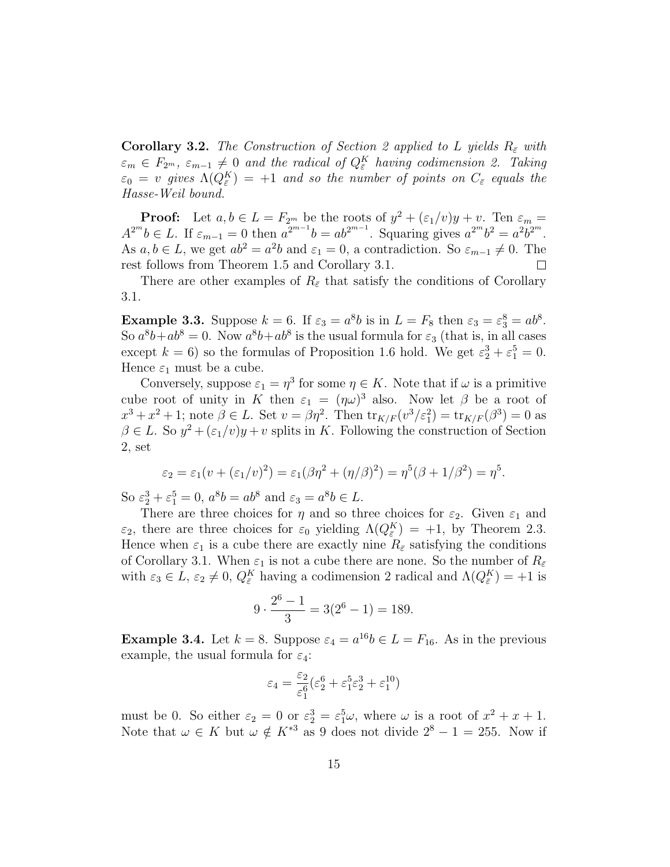**Corollary 3.2.** The Construction of Section 2 applied to L yields  $R_{\bar{\varepsilon}}$  with  $\varepsilon_m \in F_{2^m}, \varepsilon_{m-1} \neq 0$  and the radical of  $Q_{\bar{\varepsilon}}^K$  having codimension 2. Taking  $\varepsilon_0 = v$  gives  $\Lambda(Q^K_{\bar{\varepsilon}}) = +1$  and so the number of points on  $C_{\bar{\varepsilon}}$  equals the Hasse-Weil bound.

**Proof:** Let  $a, b \in L = F_{2^m}$  be the roots of  $y^2 + (\varepsilon_1/v)y + v$ . Ten  $\varepsilon_m =$  $A^{2^m}b \in L$ . If  $\varepsilon_{m-1} = 0$  then  $a^{2^{m-1}}b = ab^{2^{m-1}}$ . Squaring gives  $a^{2^m}b^2 = a^2b^{2^m}$ . As  $a, b \in L$ , we get  $ab^2 = a^2b$  and  $\varepsilon_1 = 0$ , a contradiction. So  $\varepsilon_{m-1} \neq 0$ . The rest follows from Theorem 1.5 and Corollary 3.1.  $\Box$ 

There are other examples of  $R_{\bar{\varepsilon}}$  that satisfy the conditions of Corollary 3.1.

**Example 3.3.** Suppose  $k = 6$ . If  $\varepsilon_3 = a^8b$  is in  $L = F_8$  then  $\varepsilon_3 = \varepsilon_3^8 = ab^8$ . So  $a^8b+ab^8=0$ . Now  $a^8b+ab^8$  is the usual formula for  $\varepsilon_3$  (that is, in all cases except  $k = 6$ ) so the formulas of Proposition 1.6 hold. We get  $\varepsilon_2^3 + \varepsilon_1^5 = 0$ . Hence  $\varepsilon_1$  must be a cube.

Conversely, suppose  $\varepsilon_1 = \eta^3$  for some  $\eta \in K$ . Note that if  $\omega$  is a primitive cube root of unity in K then  $\varepsilon_1 = (\eta \omega)^3$  also. Now let  $\beta$  be a root of  $x^3 + x^2 + 1$ ; note  $\beta \in L$ . Set  $v = \beta \eta^2$ . Then  $\text{tr}_{K/F}(v^3/\varepsilon_1^2) = \text{tr}_{K/F}(\beta^3) = 0$  as  $\beta \in L$ . So  $y^2 + (\varepsilon_1/v)y + v$  splits in K. Following the construction of Section 2, set

$$
\varepsilon_2 = \varepsilon_1 (v + (\varepsilon_1/v)^2) = \varepsilon_1 (\beta \eta^2 + (\eta/\beta)^2) = \eta^5 (\beta + 1/\beta^2) = \eta^5.
$$

So  $\varepsilon_2^3 + \varepsilon_1^5 = 0$ ,  $a^8b = ab^8$  and  $\varepsilon_3 = a^8b \in L$ .

There are three choices for  $\eta$  and so three choices for  $\varepsilon_2$ . Given  $\varepsilon_1$  and  $\varepsilon_2$ , there are three choices for  $\varepsilon_0$  yielding  $\Lambda(Q_{\bar{\varepsilon}}^K) = +1$ , by Theorem 2.3. Hence when  $\varepsilon_1$  is a cube there are exactly nine  $R_{\bar{\varepsilon}}$  satisfying the conditions of Corollary 3.1. When  $\varepsilon_1$  is not a cube there are none. So the number of  $R_{\bar{\varepsilon}}$ with  $\varepsilon_3 \in L$ ,  $\varepsilon_2 \neq 0$ ,  $Q_{\bar{\varepsilon}}^K$  having a codimension 2 radical and  $\Lambda(Q_{\bar{\varepsilon}}^K) = +1$  is

$$
9 \cdot \frac{2^6 - 1}{3} = 3(2^6 - 1) = 189.
$$

**Example 3.4.** Let  $k = 8$ . Suppose  $\varepsilon_4 = a^{16}b \in L = F_{16}$ . As in the previous example, the usual formula for  $\varepsilon_4$ :

$$
\varepsilon_4 = \frac{\varepsilon_2}{\varepsilon_1^6} (\varepsilon_2^6 + \varepsilon_1^5 \varepsilon_2^3 + \varepsilon_1^{10})
$$

must be 0. So either  $\varepsilon_2 = 0$  or  $\varepsilon_2^3 = \varepsilon_1^5 \omega$ , where  $\omega$  is a root of  $x^2 + x + 1$ . Note that  $\omega \in K$  but  $\omega \notin K^{*3}$  as 9 does not divide  $2^8 - 1 = 255$ . Now if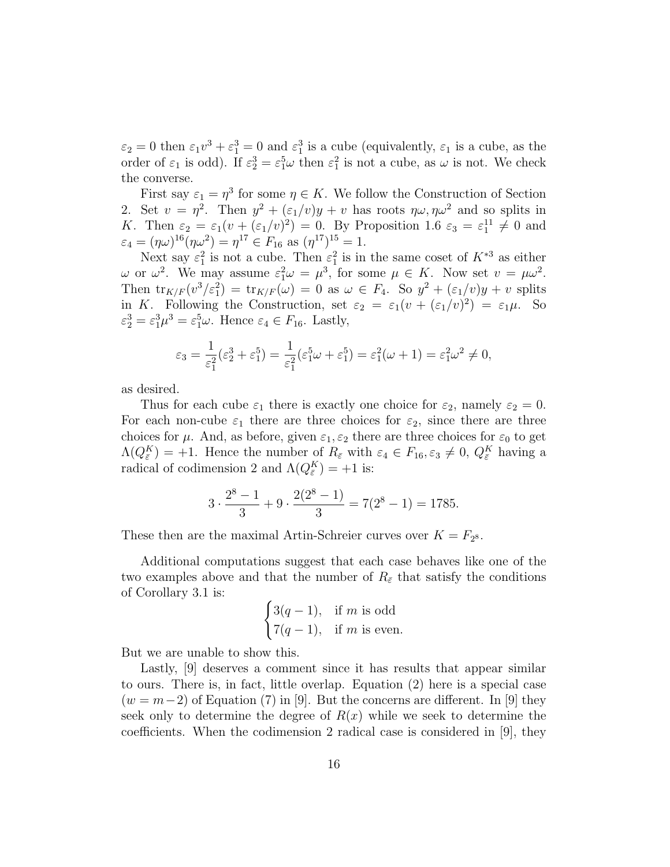$\varepsilon_2 = 0$  then  $\varepsilon_1 v^3 + \varepsilon_1^3 = 0$  and  $\varepsilon_1^3$  is a cube (equivalently,  $\varepsilon_1$  is a cube, as the order of  $\varepsilon_1$  is odd). If  $\varepsilon_2^3 = \varepsilon_1^5 \omega$  then  $\varepsilon_1^2$  is not a cube, as  $\omega$  is not. We check the converse.

First say  $\varepsilon_1 = \eta^3$  for some  $\eta \in K$ . We follow the Construction of Section 2. Set  $v = \eta^2$ . Then  $y^2 + (\varepsilon_1/v)y + v$  has roots  $\eta\omega, \eta\omega^2$  and so splits in K. Then  $\varepsilon_2 = \varepsilon_1 (v + (\varepsilon_1/v)^2) = 0$ . By Proposition 1.6  $\varepsilon_3 = \varepsilon_1^{11} \neq 0$  and  $\varepsilon_4 = (\eta \omega)^{16} (\eta \omega^2) = \eta^{17} \in F_{16} \text{ as } (\eta^{17})^{15} = 1.$ 

Next say  $\varepsilon_1^2$  is not a cube. Then  $\varepsilon_1^2$  is in the same coset of  $K^{*3}$  as either  $ω$  or  $ω^2$ . We may assume  $\varepsilon_1^2 ω = μ^3$ , for some  $μ ∈ K$ . Now set  $v = μω^2$ . Then  $\text{tr}_{K/F}(v^3/\varepsilon_1^2) = \text{tr}_{K/F}(\omega) = 0$  as  $\omega \in F_4$ . So  $y^2 + (\varepsilon_1/v)y + v$  splits in K. Following the Construction, set  $\varepsilon_2 = \varepsilon_1(v + (\varepsilon_1/v)^2) = \varepsilon_1\mu$ . So  $\varepsilon_2^3 = \varepsilon_1^3 \mu^3 = \varepsilon_1^5 \omega$ . Hence  $\varepsilon_4 \in F_{16}$ . Lastly,

$$
\varepsilon_3 = \frac{1}{\varepsilon_1^2} (\varepsilon_2^3 + \varepsilon_1^5) = \frac{1}{\varepsilon_1^2} (\varepsilon_1^5 \omega + \varepsilon_1^5) = \varepsilon_1^2 (\omega + 1) = \varepsilon_1^2 \omega^2 \neq 0,
$$

as desired.

Thus for each cube  $\varepsilon_1$  there is exactly one choice for  $\varepsilon_2$ , namely  $\varepsilon_2 = 0$ . For each non-cube  $\varepsilon_1$  there are three choices for  $\varepsilon_2$ , since there are three choices for  $\mu$ . And, as before, given  $\varepsilon_1, \varepsilon_2$  there are three choices for  $\varepsilon_0$  to get  $\Lambda(Q_{\bar{\varepsilon}}^K) = +1$ . Hence the number of  $R_{\bar{\varepsilon}}$  with  $\varepsilon_4 \in F_{16}, \varepsilon_3 \neq 0, Q_{\bar{\varepsilon}}^K$  having a radical of codimension 2 and  $\Lambda(Q_{\bar{\varepsilon}}^K) = +1$  is:

$$
3 \cdot \frac{2^8 - 1}{3} + 9 \cdot \frac{2(2^8 - 1)}{3} = 7(2^8 - 1) = 1785.
$$

These then are the maximal Artin-Schreier curves over  $K = F_{2^8}$ .

Additional computations suggest that each case behaves like one of the two examples above and that the number of  $R_{\bar{\varepsilon}}$  that satisfy the conditions of Corollary 3.1 is:  $\overline{a}$ 

$$
\begin{cases} 3(q-1), & \text{if } m \text{ is odd} \\ 7(q-1), & \text{if } m \text{ is even.} \end{cases}
$$

But we are unable to show this.

Lastly, [9] deserves a comment since it has results that appear similar to ours. There is, in fact, little overlap. Equation (2) here is a special case  $(w = m-2)$  of Equation (7) in [9]. But the concerns are different. In [9] they seek only to determine the degree of  $R(x)$  while we seek to determine the coefficients. When the codimension 2 radical case is considered in [9], they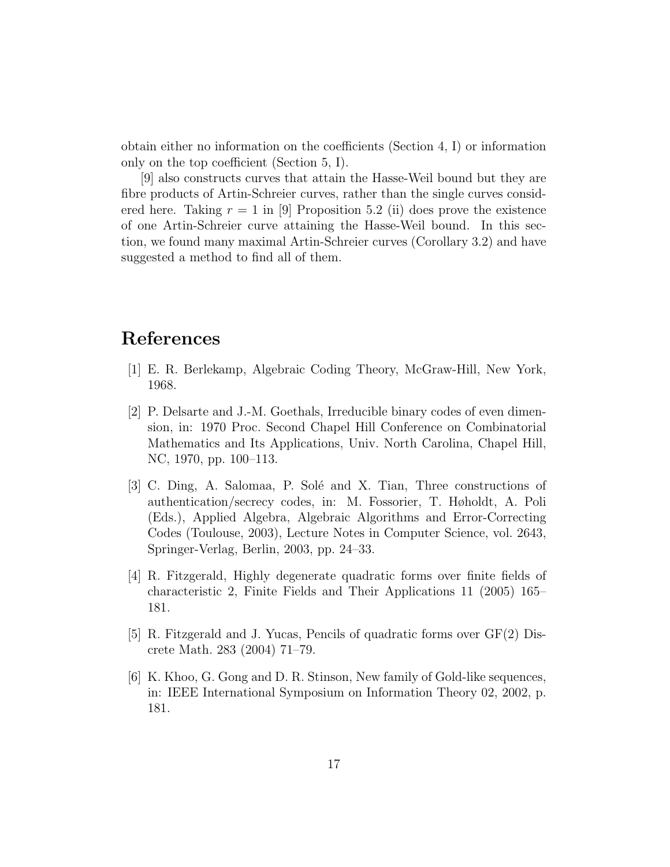obtain either no information on the coefficients (Section 4, I) or information only on the top coefficient (Section 5, I).

[9] also constructs curves that attain the Hasse-Weil bound but they are fibre products of Artin-Schreier curves, rather than the single curves considered here. Taking  $r = 1$  in [9] Proposition 5.2 (ii) does prove the existence of one Artin-Schreier curve attaining the Hasse-Weil bound. In this section, we found many maximal Artin-Schreier curves (Corollary 3.2) and have suggested a method to find all of them.

## References

- [1] E. R. Berlekamp, Algebraic Coding Theory, McGraw-Hill, New York, 1968.
- [2] P. Delsarte and J.-M. Goethals, Irreducible binary codes of even dimension, in: 1970 Proc. Second Chapel Hill Conference on Combinatorial Mathematics and Its Applications, Univ. North Carolina, Chapel Hill, NC, 1970, pp. 100–113.
- [3] C. Ding, A. Salomaa, P. Solé and X. Tian, Three constructions of authentication/secrecy codes, in: M. Fossorier, T. Høholdt, A. Poli (Eds.), Applied Algebra, Algebraic Algorithms and Error-Correcting Codes (Toulouse, 2003), Lecture Notes in Computer Science, vol. 2643, Springer-Verlag, Berlin, 2003, pp. 24–33.
- [4] R. Fitzgerald, Highly degenerate quadratic forms over finite fields of characteristic 2, Finite Fields and Their Applications 11 (2005) 165– 181.
- [5] R. Fitzgerald and J. Yucas, Pencils of quadratic forms over GF(2) Discrete Math. 283 (2004) 71–79.
- [6] K. Khoo, G. Gong and D. R. Stinson, New family of Gold-like sequences, in: IEEE International Symposium on Information Theory 02, 2002, p. 181.